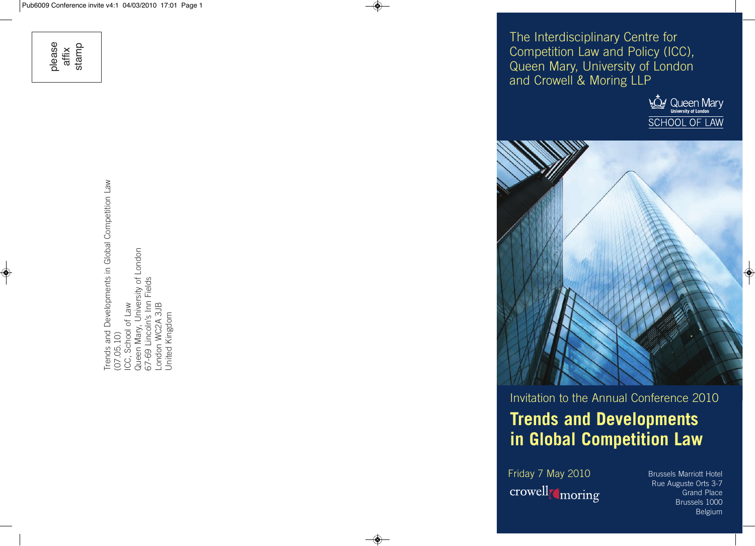please affix stamp

◈

Trends and Developments in Global Competition Law<br>(07.05.10)<br>ICC, School of Law<br>Queen Mary, University of London<br>67-69 Lincoln's Inn Fields<br>London WC2A 3JB<br>United Kingdom Trends and Developments in Global Competition Law Queen Mary, University of London 67-69 Lincoln's Inn Fields London WC2A 3JB ICC, School of Law United Kingdom (07.05.10)

The Interdisciplinary Centre for Competition Law and Policy (ICC), Queen Mary, University of London and Crowell & Moring LLP





# **Trends and Developments in Global Competition Law** Invitation to the Annual Conference 2010

Friday 7 May 2010 Brussels Marriott Hotel crowell<sub>(moring</sub>

◈

Rue Auguste Orts 3-7 Grand Place Brussels 1000 Belgium